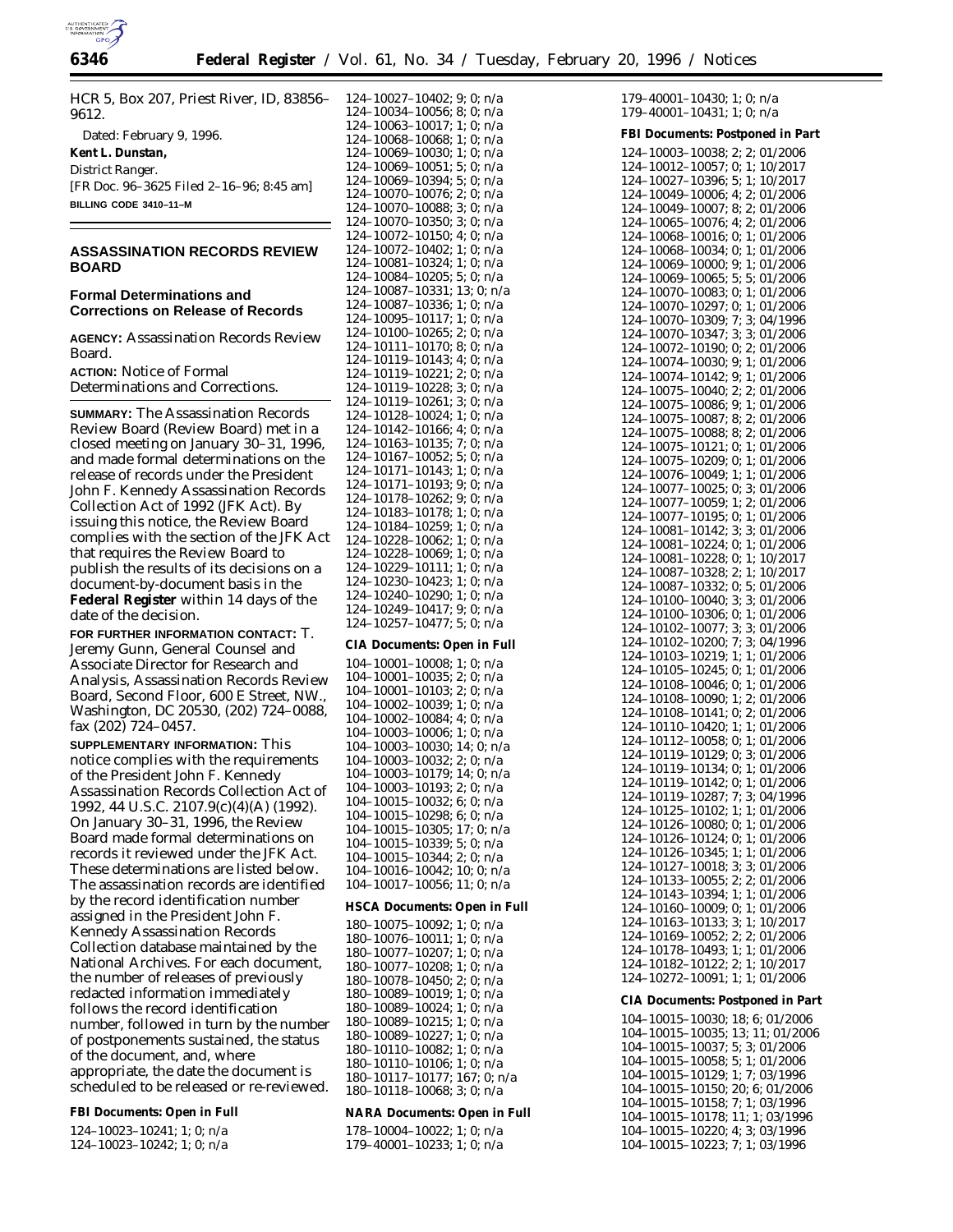

HCR 5, Box 207, Priest River, ID, 83856– 9612. Dated: February 9, 1996.

**Kent L. Dunstan,** *District Ranger.* [FR Doc. 96–3625 Filed 2–16–96; 8:45 am] **BILLING CODE 3410–11–M**

# **ASSASSINATION RECORDS REVIEW BOARD**

## **Formal Determinations and Corrections on Release of Records**

**AGENCY:** Assassination Records Review Board.

**ACTION:** Notice of Formal Determinations and Corrections.

**SUMMARY:** The Assassination Records Review Board (Review Board) met in a closed meeting on January 30–31, 1996, and made formal determinations on the release of records under the President John F. Kennedy Assassination Records Collection Act of 1992 (JFK Act). By issuing this notice, the Review Board complies with the section of the JFK Act that requires the Review Board to publish the results of its decisions on a document-by-document basis in the **Federal Register** within 14 days of the date of the decision.

**FOR FURTHER INFORMATION CONTACT:** T. Jeremy Gunn, General Counsel and Associate Director for Research and Analysis, Assassination Records Review Board, Second Floor, 600 E Street, NW., Washington, DC 20530, (202) 724–0088, fax (202) 724–0457.

**SUPPLEMENTARY INFORMATION:** This notice complies with the requirements of the *President John F. Kennedy Assassination Records Collection Act of 1992,* 44 U.S.C. 2107.9(c)(4)(A) (1992). On January 30–31, 1996, the Review Board made formal determinations on records it reviewed under the JFK Act. These determinations are listed below. The assassination records are identified by the record identification number assigned in the President John F. Kennedy Assassination Records Collection database maintained by the National Archives. For each document, the number of releases of previously redacted information immediately follows the record identification number, followed in turn by the number of postponements sustained, the status of the document, and, where appropriate, the date the document is scheduled to be released or re-reviewed.

**FBI Documents: Open in Full**

124–10023–10241; 1; 0; n/a

124–10023–10242; 1; 0; n/a

124–10027–10402; 9; 0; n/a 124–10034–10056; 8; 0; n/a 124–10063–10017; 1; 0; n/a 124–10068–10068; 1; 0; n/a 124–10069–10030; 1; 0; n/a 124–10069–10051; 5; 0; n/a 124–10069–10394; 5; 0; n/a 124–10070–10076; 2; 0; n/a 124–10070–10088; 3; 0; n/a 124–10070–10350; 3; 0; n/a 124–10072–10150; 4; 0; n/a 124–10072–10402; 1; 0; n/a 124–10081–10324; 1; 0; n/a 124–10084–10205; 5; 0; n/a 124–10087–10331; 13; 0; n/a 124–10087–10336; 1; 0; n/a 124–10095–10117; 1; 0; n/a 124–10100–10265; 2; 0; n/a 124–10111–10170; 8; 0; n/a 124–10119–10143; 4; 0; n/a 124–10119–10221; 2; 0; n/a 124–10119–10228; 3; 0; n/a 124–10119–10261; 3; 0; n/a 124–10128–10024; 1; 0; n/a 124–10142–10166; 4; 0; n/a 124–10163–10135; 7; 0; n/a 124–10167–10052; 5; 0; n/a 124–10171–10143; 1; 0; n/a 124–10171–10193; 9; 0; n/a 124–10178–10262; 9; 0; n/a 124–10183–10178; 1; 0; n/a 124–10184–10259; 1; 0; n/a 124–10228–10062; 1; 0; n/a 124–10228–10069; 1; 0; n/a 124–10229–10111; 1; 0; n/a 124–10230–10423; 1; 0; n/a 124–10240–10290; 1; 0; n/a 124–10249–10417; 9; 0; n/a 124–10257–10477; 5; 0; n/a **CIA Documents: Open in Full** 104–10001–10008; 1; 0; n/a 104–10001–10035; 2; 0; n/a 104–10001–10103; 2; 0; n/a 104–10002–10039; 1; 0; n/a 104–10002–10084; 4; 0; n/a 104–10003–10006; 1; 0; n/a 104–10003–10030; 14; 0; n/a 104–10003–10032; 2; 0; n/a 104–10003–10179; 14; 0; n/a 104–10003–10193; 2; 0; n/a 104–10015–10032; 6; 0; n/a 104–10015–10298; 6; 0; n/a 104–10015–10305; 17; 0; n/a 104–10015–10339; 5; 0; n/a 104–10015–10344; 2; 0; n/a 104–10016–10042; 10; 0; n/a 104–10017–10056; 11; 0; n/a **HSCA Documents: Open in Full** 180–10075–10092; 1; 0; n/a 180–10076–10011; 1; 0; n/a 180–10077–10207; 1; 0; n/a 180–10077–10208; 1; 0; n/a 180–10078–10450; 2; 0; n/a 180–10089–10019; 1; 0; n/a 180–10089–10024; 1; 0; n/a 180–10089–10215; 1; 0; n/a 180–10089–10227; 1; 0; n/a 180–10110–10082; 1; 0; n/a 180–10110–10106; 1; 0; n/a 180–10117–10177; 167; 0; n/a 180–10118–10068; 3; 0; n/a **NARA Documents: Open in Full** 178–10004–10022; 1; 0; n/a

179–40001–10233; 1; 0; n/a

 $179-40001-10430$ ; 1; 0; n/a 179–40001–10431; 1; 0; n/a

**FBI Documents: Postponed in Part** 124–10003–10038; 2; 2; 01/2006 124–10012–10057; 0; 1; 10/2017 124–10027–10396; 5; 1; 10/2017 124–10049–10006; 4; 2; 01/2006 124–10049–10007; 8; 2; 01/2006 124–10065–10076; 4; 2; 01/2006 124–10068–10016; 0; 1; 01/2006 124–10068–10034; 0; 1; 01/2006 124–10069–10000; 9; 1; 01/2006 124–10069–10065; 5; 5; 01/2006 124–10070–10083; 0; 1; 01/2006 124–10070–10297; 0; 1; 01/2006 124–10070–10309; 7; 3; 04/1996 124–10070–10347; 3; 3; 01/2006 124–10072–10190; 0; 2; 01/2006 124–10074–10030; 9; 1; 01/2006 124–10074–10142; 9; 1; 01/2006 124–10075–10040; 2; 2; 01/2006 124–10075–10086; 9; 1; 01/2006 124–10075–10087; 8; 2; 01/2006 124–10075–10088; 8; 2; 01/2006 124–10075–10121; 0; 1; 01/2006 124–10075–10209; 0; 1; 01/2006 124–10076–10049; 1; 1; 01/2006 124–10077–10025; 0; 3; 01/2006 124–10077–10059; 1; 2; 01/2006 124–10077–10195; 0; 1; 01/2006 124–10081–10142; 3; 3; 01/2006 124–10081–10224; 0; 1; 01/2006 124–10081–10228; 0; 1; 10/2017 124–10087–10328; 2; 1; 10/2017 124–10087–10332; 0; 5; 01/2006 124–10100–10040; 3; 3; 01/2006 124–10100–10306; 0; 1; 01/2006 124–10102–10077; 3; 3; 01/2006 124–10102–10200; 7; 3; 04/1996 124–10103–10219; 1; 1; 01/2006 124–10105–10245; 0; 1; 01/2006 124–10108–10046; 0; 1; 01/2006 124–10108–10090; 1; 2; 01/2006 124–10108–10141; 0; 2; 01/2006 124–10110–10420; 1; 1; 01/2006 124–10112–10058; 0; 1; 01/2006 124–10119–10129; 0; 3; 01/2006 124–10119–10134; 0; 1; 01/2006 124–10119–10142; 0; 1; 01/2006 124–10119–10287; 7; 3; 04/1996 124–10125–10102; 1; 1; 01/2006 124–10126–10080; 0; 1; 01/2006 124–10126–10124; 0; 1; 01/2006 124–10126–10345; 1; 1; 01/2006 124–10127–10018; 3; 3; 01/2006 124–10133–10055; 2; 2; 01/2006 124–10143–10394; 1; 1; 01/2006 124–10160–10009; 0; 1; 01/2006 124–10163–10133; 3; 1; 10/2017 124–10169–10052; 2; 2; 01/2006 124–10178–10493; 1; 1; 01/2006 124–10182–10122; 2; 1; 10/2017 124–10272–10091; 1; 1; 01/2006 **CIA Documents: Postponed in Part** 104–10015–10030; 18; 6; 01/2006 104–10015–10035; 13; 11; 01/2006 104–10015–10037; 5; 3; 01/2006 104–10015–10058; 5; 1; 01/2006 104–10015–10129; 1; 7; 03/1996 104–10015–10150; 20; 6; 01/2006 104–10015–10158; 7; 1; 03/1996 104–10015–10178; 11; 1; 03/1996

104–10015–10220; 4; 3; 03/1996 104–10015–10223; 7; 1; 03/1996